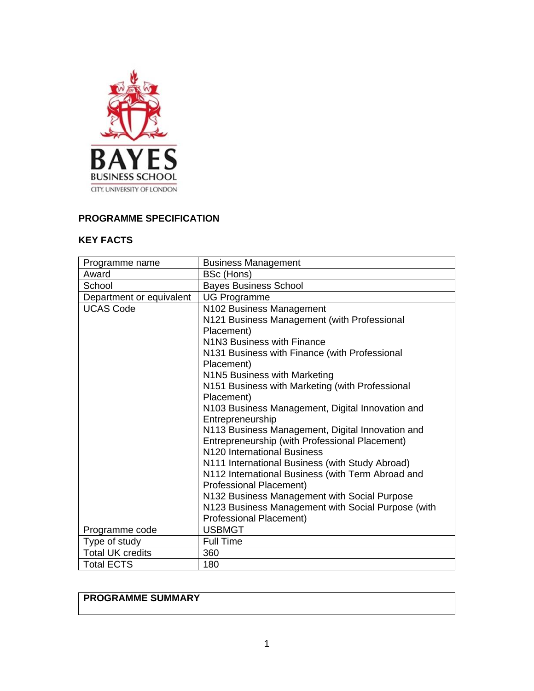

# **PROGRAMME SPECIFICATION**

### **KEY FACTS**

| Programme name                  | <b>Business Management</b>                                                           |
|---------------------------------|--------------------------------------------------------------------------------------|
| Award                           | BSc (Hons)                                                                           |
| School                          | <b>Bayes Business School</b>                                                         |
| Department or equivalent        | <b>UG Programme</b>                                                                  |
| <b>UCAS Code</b>                | N102 Business Management                                                             |
|                                 | N121 Business Management (with Professional                                          |
|                                 | Placement)                                                                           |
|                                 | N1N3 Business with Finance                                                           |
|                                 | N131 Business with Finance (with Professional                                        |
|                                 | Placement)                                                                           |
|                                 | N1N5 Business with Marketing                                                         |
|                                 | N151 Business with Marketing (with Professional                                      |
|                                 | Placement)                                                                           |
|                                 | N103 Business Management, Digital Innovation and                                     |
|                                 | Entrepreneurship                                                                     |
|                                 | N113 Business Management, Digital Innovation and                                     |
|                                 | Entrepreneurship (with Professional Placement)                                       |
|                                 | N120 International Business                                                          |
|                                 | N111 International Business (with Study Abroad)                                      |
|                                 | N112 International Business (with Term Abroad and                                    |
|                                 | Professional Placement)                                                              |
|                                 | N132 Business Management with Social Purpose                                         |
|                                 | N123 Business Management with Social Purpose (with<br><b>Professional Placement)</b> |
|                                 | <b>USBMGT</b>                                                                        |
| Programme code<br>Type of study | <b>Full Time</b>                                                                     |
| <b>Total UK credits</b>         | 360                                                                                  |
|                                 |                                                                                      |
| <b>Total ECTS</b>               | 180                                                                                  |

# **PROGRAMME SUMMARY**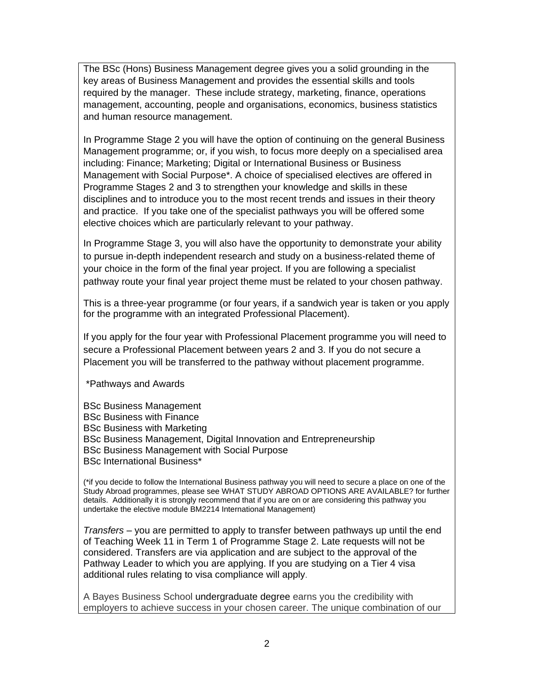The BSc (Hons) Business Management degree gives you a solid grounding in the key areas of Business Management and provides the essential skills and tools required by the manager. These include strategy, marketing, finance, operations management, accounting, people and organisations, economics, business statistics and human resource management.

In Programme Stage 2 you will have the option of continuing on the general Business Management programme; or, if you wish, to focus more deeply on a specialised area including: Finance; Marketing; Digital or International Business or Business Management with Social Purpose\*. A choice of specialised electives are offered in Programme Stages 2 and 3 to strengthen your knowledge and skills in these disciplines and to introduce you to the most recent trends and issues in their theory and practice. If you take one of the specialist pathways you will be offered some elective choices which are particularly relevant to your pathway.

In Programme Stage 3, you will also have the opportunity to demonstrate your ability to pursue in-depth independent research and study on a business-related theme of your choice in the form of the final year project. If you are following a specialist pathway route your final year project theme must be related to your chosen pathway.

This is a three-year programme (or four years, if a sandwich year is taken or you apply for the programme with an integrated Professional Placement).

If you apply for the four year with Professional Placement programme you will need to secure a Professional Placement between years 2 and 3. If you do not secure a Placement you will be transferred to the pathway without placement programme.

- \*Pathways and Awards
- BSc Business Management BSc Business with Finance BSc Business with Marketing BSc Business Management, Digital Innovation and Entrepreneurship BSc Business Management with Social Purpose BSc International Business\*

(\*if you decide to follow the International Business pathway you will need to secure a place on one of the Study Abroad programmes, please see WHAT STUDY ABROAD OPTIONS ARE AVAILABLE? for further details. Additionally it is strongly recommend that if you are on or are considering this pathway you undertake the elective module BM2214 International Management)

*Transfers* – you are permitted to apply to transfer between pathways up until the end of Teaching Week 11 in Term 1 of Programme Stage 2. Late requests will not be considered. Transfers are via application and are subject to the approval of the Pathway Leader to which you are applying. If you are studying on a Tier 4 visa additional rules relating to visa compliance will apply.

A Bayes Business School undergraduate degree earns you the credibility with employers to achieve success in your chosen career. The unique combination of our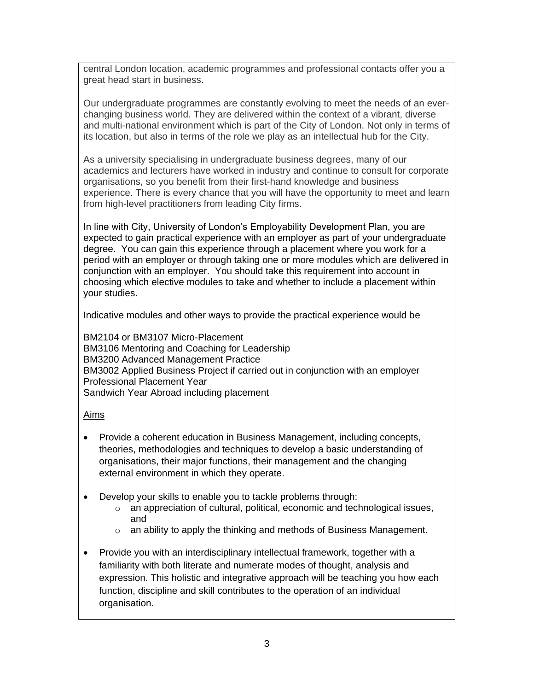central London location, academic programmes and professional contacts offer you a great head start in business.

Our undergraduate programmes are constantly evolving to meet the needs of an everchanging business world. They are delivered within the context of a vibrant, diverse and multi-national environment which is part of the City of London. Not only in terms of its location, but also in terms of the role we play as an intellectual hub for the City.

As a university specialising in undergraduate business degrees, many of our academics and lecturers have worked in industry and continue to consult for corporate organisations, so you benefit from their first-hand knowledge and business experience. There is every chance that you will have the opportunity to meet and learn from high-level practitioners from leading City firms.

In line with City, University of London's Employability Development Plan, you are expected to gain practical experience with an employer as part of your undergraduate degree. You can gain this experience through a placement where you work for a period with an employer or through taking one or more modules which are delivered in conjunction with an employer. You should take this requirement into account in choosing which elective modules to take and whether to include a placement within your studies.

Indicative modules and other ways to provide the practical experience would be

BM2104 or BM3107 Micro-Placement BM3106 Mentoring and Coaching for Leadership BM3200 Advanced Management Practice BM3002 Applied Business Project if carried out in conjunction with an employer Professional Placement Year Sandwich Year Abroad including placement

### Aims

- Provide a coherent education in Business Management, including concepts, theories, methodologies and techniques to develop a basic understanding of organisations, their major functions, their management and the changing external environment in which they operate.
- Develop your skills to enable you to tackle problems through:
	- o an appreciation of cultural, political, economic and technological issues, and
	- o an ability to apply the thinking and methods of Business Management.
- Provide you with an interdisciplinary intellectual framework, together with a familiarity with both literate and numerate modes of thought, analysis and expression. This holistic and integrative approach will be teaching you how each function, discipline and skill contributes to the operation of an individual organisation.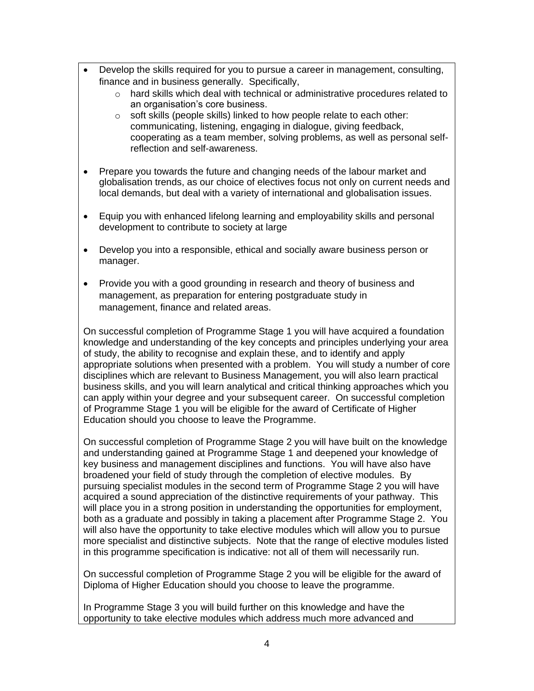- Develop the skills required for you to pursue a career in management, consulting, finance and in business generally. Specifically,
	- $\circ$  hard skills which deal with technical or administrative procedures related to an organisation's core business.
	- o soft skills (people skills) linked to how people relate to each other: communicating, listening, engaging in dialogue, giving feedback, cooperating as a team member, solving problems, as well as personal selfreflection and self-awareness.
- Prepare you towards the future and changing needs of the labour market and globalisation trends, as our choice of electives focus not only on current needs and local demands, but deal with a variety of international and globalisation issues.
- Equip you with enhanced lifelong learning and employability skills and personal development to contribute to society at large
- Develop you into a responsible, ethical and socially aware business person or manager.
- Provide you with a good grounding in research and theory of business and management, as preparation for entering postgraduate study in management, finance and related areas.

On successful completion of Programme Stage 1 you will have acquired a foundation knowledge and understanding of the key concepts and principles underlying your area of study, the ability to recognise and explain these, and to identify and apply appropriate solutions when presented with a problem. You will study a number of core disciplines which are relevant to Business Management, you will also learn practical business skills, and you will learn analytical and critical thinking approaches which you can apply within your degree and your subsequent career. On successful completion of Programme Stage 1 you will be eligible for the award of Certificate of Higher Education should you choose to leave the Programme.

On successful completion of Programme Stage 2 you will have built on the knowledge and understanding gained at Programme Stage 1 and deepened your knowledge of key business and management disciplines and functions. You will have also have broadened your field of study through the completion of elective modules. By pursuing specialist modules in the second term of Programme Stage 2 you will have acquired a sound appreciation of the distinctive requirements of your pathway. This will place you in a strong position in understanding the opportunities for employment, both as a graduate and possibly in taking a placement after Programme Stage 2. You will also have the opportunity to take elective modules which will allow you to pursue more specialist and distinctive subjects. Note that the range of elective modules listed in this programme specification is indicative: not all of them will necessarily run.

On successful completion of Programme Stage 2 you will be eligible for the award of Diploma of Higher Education should you choose to leave the programme.

In Programme Stage 3 you will build further on this knowledge and have the opportunity to take elective modules which address much more advanced and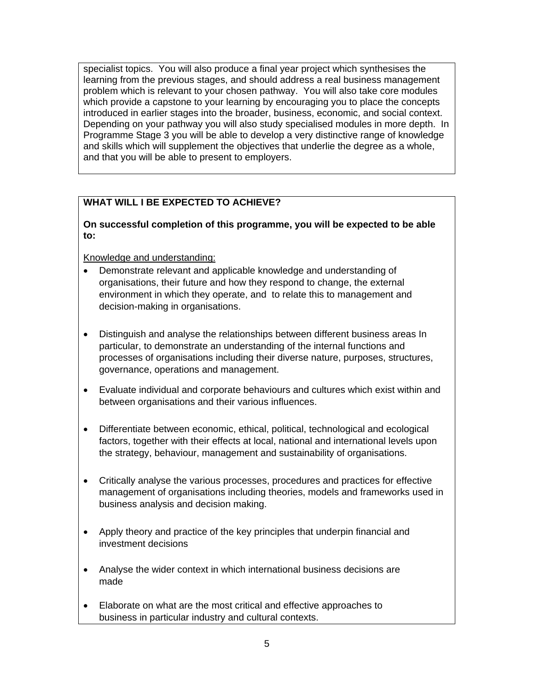specialist topics. You will also produce a final year project which synthesises the learning from the previous stages, and should address a real business management problem which is relevant to your chosen pathway. You will also take core modules which provide a capstone to your learning by encouraging you to place the concepts introduced in earlier stages into the broader, business, economic, and social context. Depending on your pathway you will also study specialised modules in more depth. In Programme Stage 3 you will be able to develop a very distinctive range of knowledge and skills which will supplement the objectives that underlie the degree as a whole, and that you will be able to present to employers.

# **WHAT WILL I BE EXPECTED TO ACHIEVE?**

### **On successful completion of this programme, you will be expected to be able to:**

Knowledge and understanding:

- Demonstrate relevant and applicable knowledge and understanding of organisations, their future and how they respond to change, the external environment in which they operate, and to relate this to management and decision-making in organisations.
- Distinguish and analyse the relationships between different business areas In particular, to demonstrate an understanding of the internal functions and processes of organisations including their diverse nature, purposes, structures, governance, operations and management.
- Evaluate individual and corporate behaviours and cultures which exist within and between organisations and their various influences.
- Differentiate between economic, ethical, political, technological and ecological factors, together with their effects at local, national and international levels upon the strategy, behaviour, management and sustainability of organisations.
- Critically analyse the various processes, procedures and practices for effective management of organisations including theories, models and frameworks used in business analysis and decision making.
- Apply theory and practice of the key principles that underpin financial and investment decisions
- Analyse the wider context in which international business decisions are made
- Elaborate on what are the most critical and effective approaches to business in particular industry and cultural contexts.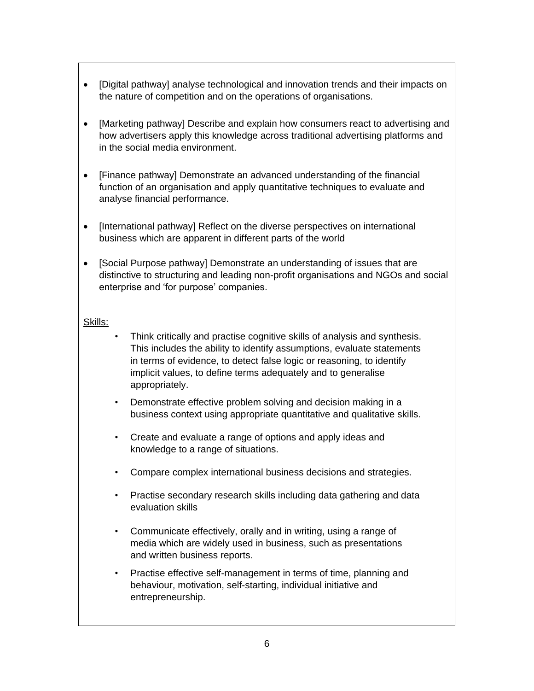- [Digital pathway] analyse technological and innovation trends and their impacts on the nature of competition and on the operations of organisations.
- [Marketing pathway] Describe and explain how consumers react to advertising and how advertisers apply this knowledge across traditional advertising platforms and in the social media environment.
- [Finance pathway] Demonstrate an advanced understanding of the financial function of an organisation and apply quantitative techniques to evaluate and analyse financial performance.
- [International pathway] Reflect on the diverse perspectives on international business which are apparent in different parts of the world
- [Social Purpose pathway] Demonstrate an understanding of issues that are distinctive to structuring and leading non-profit organisations and NGOs and social enterprise and 'for purpose' companies.

#### Skills:

- Think critically and practise cognitive skills of analysis and synthesis. This includes the ability to identify assumptions, evaluate statements in terms of evidence, to detect false logic or reasoning, to identify implicit values, to define terms adequately and to generalise appropriately.
- Demonstrate effective problem solving and decision making in a business context using appropriate quantitative and qualitative skills.
- Create and evaluate a range of options and apply ideas and knowledge to a range of situations.
- Compare complex international business decisions and strategies.
- Practise secondary research skills including data gathering and data evaluation skills
- Communicate effectively, orally and in writing, using a range of media which are widely used in business, such as presentations and written business reports.
- Practise effective self-management in terms of time, planning and behaviour, motivation, self-starting, individual initiative and entrepreneurship.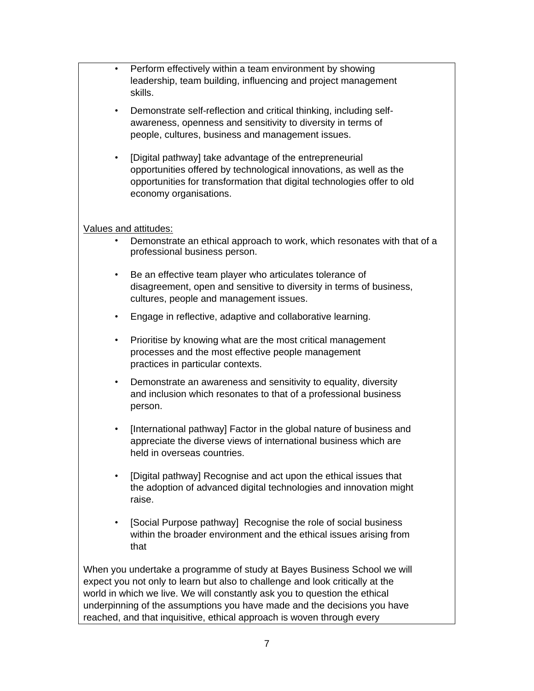| $\bullet$ | Perform effectively within a team environment by showing<br>leadership, team building, influencing and project management<br>skills.                                                                                                                                                                                |
|-----------|---------------------------------------------------------------------------------------------------------------------------------------------------------------------------------------------------------------------------------------------------------------------------------------------------------------------|
| $\bullet$ | Demonstrate self-reflection and critical thinking, including self-<br>awareness, openness and sensitivity to diversity in terms of<br>people, cultures, business and management issues.                                                                                                                             |
| $\bullet$ | [Digital pathway] take advantage of the entrepreneurial<br>opportunities offered by technological innovations, as well as the<br>opportunities for transformation that digital technologies offer to old<br>economy organisations.                                                                                  |
|           | Values and attitudes:                                                                                                                                                                                                                                                                                               |
|           | Demonstrate an ethical approach to work, which resonates with that of a<br>professional business person.                                                                                                                                                                                                            |
| $\bullet$ | Be an effective team player who articulates tolerance of<br>disagreement, open and sensitive to diversity in terms of business,<br>cultures, people and management issues.                                                                                                                                          |
| $\bullet$ | Engage in reflective, adaptive and collaborative learning.                                                                                                                                                                                                                                                          |
| $\bullet$ | Prioritise by knowing what are the most critical management<br>processes and the most effective people management<br>practices in particular contexts.                                                                                                                                                              |
| $\bullet$ | Demonstrate an awareness and sensitivity to equality, diversity<br>and inclusion which resonates to that of a professional business<br>person.                                                                                                                                                                      |
| $\bullet$ | [International pathway] Factor in the global nature of business and<br>appreciate the diverse views of international business which are<br>held in overseas countries.                                                                                                                                              |
| $\bullet$ | [Digital pathway] Recognise and act upon the ethical issues that<br>the adoption of advanced digital technologies and innovation might<br>raise.                                                                                                                                                                    |
| $\bullet$ | [Social Purpose pathway] Recognise the role of social business<br>within the broader environment and the ethical issues arising from<br>that                                                                                                                                                                        |
|           | When you undertake a programme of study at Bayes Business School we will<br>expect you not only to learn but also to challenge and look critically at the<br>world in which we live. We will constantly ask you to question the ethical<br>underpinning of the assumptions you have made and the decisions you have |

reached, and that inquisitive, ethical approach is woven through every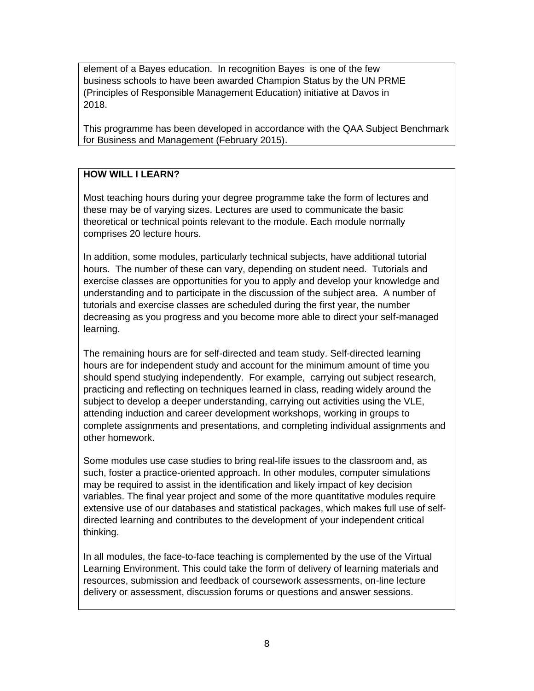element of a Bayes education. In recognition Bayes is one of the few business schools to have been awarded Champion Status by the UN PRME (Principles of Responsible Management Education) initiative at Davos in 2018.

This programme has been developed in accordance with the QAA Subject Benchmark for Business and Management (February 2015).

### **HOW WILL I LEARN?**

Most teaching hours during your degree programme take the form of lectures and these may be of varying sizes. Lectures are used to communicate the basic theoretical or technical points relevant to the module. Each module normally comprises 20 lecture hours.

In addition, some modules, particularly technical subjects, have additional tutorial hours. The number of these can vary, depending on student need. Tutorials and exercise classes are opportunities for you to apply and develop your knowledge and understanding and to participate in the discussion of the subject area. A number of tutorials and exercise classes are scheduled during the first year, the number decreasing as you progress and you become more able to direct your self-managed learning.

The remaining hours are for self-directed and team study. Self-directed learning hours are for independent study and account for the minimum amount of time you should spend studying independently. For example, carrying out subject research, practicing and reflecting on techniques learned in class, reading widely around the subject to develop a deeper understanding, carrying out activities using the VLE, attending induction and career development workshops, working in groups to complete assignments and presentations, and completing individual assignments and other homework.

Some modules use case studies to bring real-life issues to the classroom and, as such, foster a practice-oriented approach. In other modules, computer simulations may be required to assist in the identification and likely impact of key decision variables. The final year project and some of the more quantitative modules require extensive use of our databases and statistical packages, which makes full use of selfdirected learning and contributes to the development of your independent critical thinking.

In all modules, the face-to-face teaching is complemented by the use of the Virtual Learning Environment. This could take the form of delivery of learning materials and resources, submission and feedback of coursework assessments, on-line lecture delivery or assessment, discussion forums or questions and answer sessions.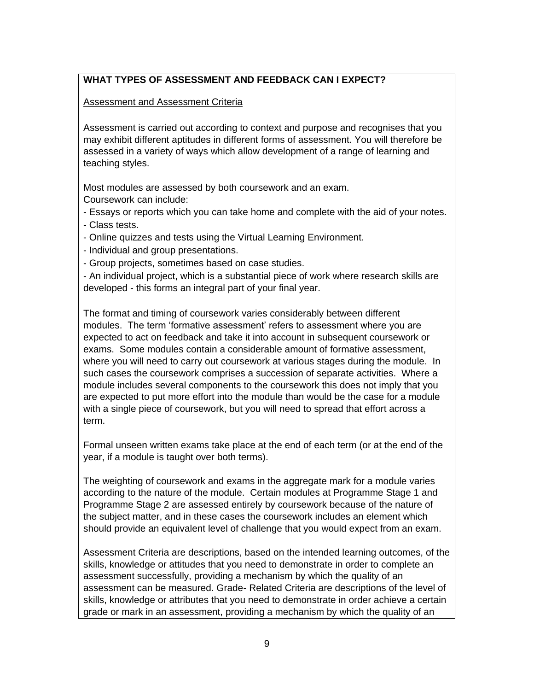### **WHAT TYPES OF ASSESSMENT AND FEEDBACK CAN I EXPECT?**

Assessment and Assessment Criteria

Assessment is carried out according to context and purpose and recognises that you may exhibit different aptitudes in different forms of assessment. You will therefore be assessed in a variety of ways which allow development of a range of learning and teaching styles.

Most modules are assessed by both coursework and an exam. Coursework can include:

- Essays or reports which you can take home and complete with the aid of your notes. - Class tests.

- Online quizzes and tests using the Virtual Learning Environment.

- Individual and group presentations.

- Group projects, sometimes based on case studies.

- An individual project, which is a substantial piece of work where research skills are developed - this forms an integral part of your final year.

The format and timing of coursework varies considerably between different modules. The term 'formative assessment' refers to assessment where you are expected to act on feedback and take it into account in subsequent coursework or exams. Some modules contain a considerable amount of formative assessment, where you will need to carry out coursework at various stages during the module. In such cases the coursework comprises a succession of separate activities. Where a module includes several components to the coursework this does not imply that you are expected to put more effort into the module than would be the case for a module with a single piece of coursework, but you will need to spread that effort across a term.

Formal unseen written exams take place at the end of each term (or at the end of the year, if a module is taught over both terms).

The weighting of coursework and exams in the aggregate mark for a module varies according to the nature of the module. Certain modules at Programme Stage 1 and Programme Stage 2 are assessed entirely by coursework because of the nature of the subject matter, and in these cases the coursework includes an element which should provide an equivalent level of challenge that you would expect from an exam.

Assessment Criteria are descriptions, based on the intended learning outcomes, of the skills, knowledge or attitudes that you need to demonstrate in order to complete an assessment successfully, providing a mechanism by which the quality of an assessment can be measured. Grade- Related Criteria are descriptions of the level of skills, knowledge or attributes that you need to demonstrate in order achieve a certain grade or mark in an assessment, providing a mechanism by which the quality of an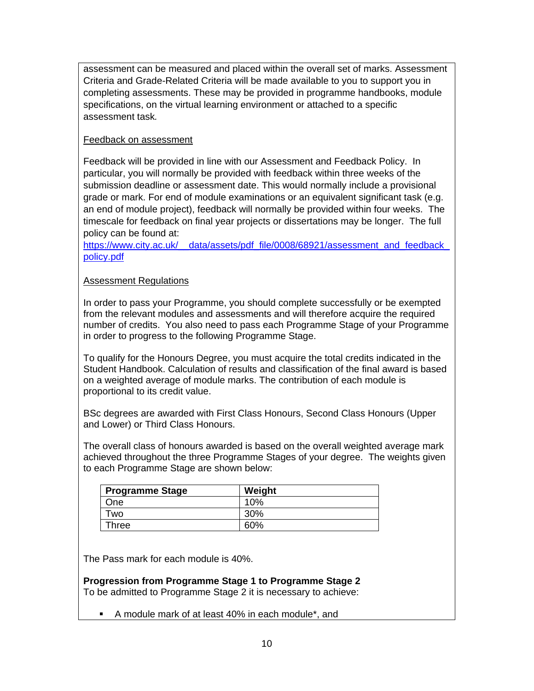assessment can be measured and placed within the overall set of marks. Assessment Criteria and Grade-Related Criteria will be made available to you to support you in completing assessments. These may be provided in programme handbooks, module specifications, on the virtual learning environment or attached to a specific assessment task*.*

### Feedback on assessment

Feedback will be provided in line with our Assessment and Feedback Policy. In particular, you will normally be provided with feedback within three weeks of the submission deadline or assessment date. This would normally include a provisional grade or mark. For end of module examinations or an equivalent significant task (e.g. an end of module project), feedback will normally be provided within four weeks. The timescale for feedback on final year projects or dissertations may be longer. The full policy can be found at:

https://www.city.ac.uk/ data/assets/pdf file/0008/68921/assessment and feedback [policy.pdf](https://www.city.ac.uk/__data/assets/pdf_file/0008/68921/assessment_and_feedback_policy.pdf)

### Assessment Regulations

In order to pass your Programme, you should complete successfully or be exempted from the relevant modules and assessments and will therefore acquire the required number of credits. You also need to pass each Programme Stage of your Programme in order to progress to the following Programme Stage.

To qualify for the Honours Degree, you must acquire the total credits indicated in the Student Handbook. Calculation of results and classification of the final award is based on a weighted average of module marks. The contribution of each module is proportional to its credit value.

BSc degrees are awarded with First Class Honours, Second Class Honours (Upper and Lower) or Third Class Honours.

The overall class of honours awarded is based on the overall weighted average mark achieved throughout the three Programme Stages of your degree. The weights given to each Programme Stage are shown below:

| <b>Programme Stage</b> | Weight |
|------------------------|--------|
| One                    | 10%    |
| .<br>WO                | 30%    |
| <b>Three</b>           | 60%    |

The Pass mark for each module is 40%.

**Progression from Programme Stage 1 to Programme Stage 2** To be admitted to Programme Stage 2 it is necessary to achieve:

▪ A module mark of at least 40% in each module\*, and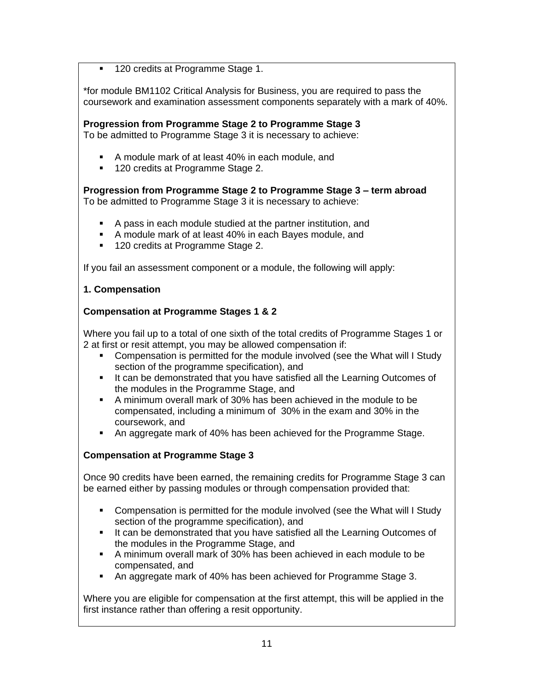120 credits at Programme Stage 1.

\*for module BM1102 Critical Analysis for Business, you are required to pass the coursework and examination assessment components separately with a mark of 40%.

**Progression from Programme Stage 2 to Programme Stage 3**

To be admitted to Programme Stage 3 it is necessary to achieve:

- A module mark of at least 40% in each module, and
- 120 credits at Programme Stage 2.

**Progression from Programme Stage 2 to Programme Stage 3 – term abroad** To be admitted to Programme Stage 3 it is necessary to achieve:

- A pass in each module studied at the partner institution, and
- A module mark of at least 40% in each Bayes module, and
- 120 credits at Programme Stage 2.

If you fail an assessment component or a module, the following will apply:

### **1. Compensation**

### **Compensation at Programme Stages 1 & 2**

Where you fail up to a total of one sixth of the total credits of Programme Stages 1 or 2 at first or resit attempt, you may be allowed compensation if:

- Compensation is permitted for the module involved (see the What will I Study section of the programme specification), and
- It can be demonstrated that you have satisfied all the Learning Outcomes of the modules in the Programme Stage, and
- A minimum overall mark of 30% has been achieved in the module to be compensated, including a minimum of 30% in the exam and 30% in the coursework, and
- An aggregate mark of 40% has been achieved for the Programme Stage.

### **Compensation at Programme Stage 3**

Once 90 credits have been earned, the remaining credits for Programme Stage 3 can be earned either by passing modules or through compensation provided that:

- Compensation is permitted for the module involved (see the What will I Study section of the programme specification), and
- **.** It can be demonstrated that you have satisfied all the Learning Outcomes of the modules in the Programme Stage, and
- A minimum overall mark of 30% has been achieved in each module to be compensated, and
- An aggregate mark of 40% has been achieved for Programme Stage 3.

Where you are eligible for compensation at the first attempt, this will be applied in the first instance rather than offering a resit opportunity.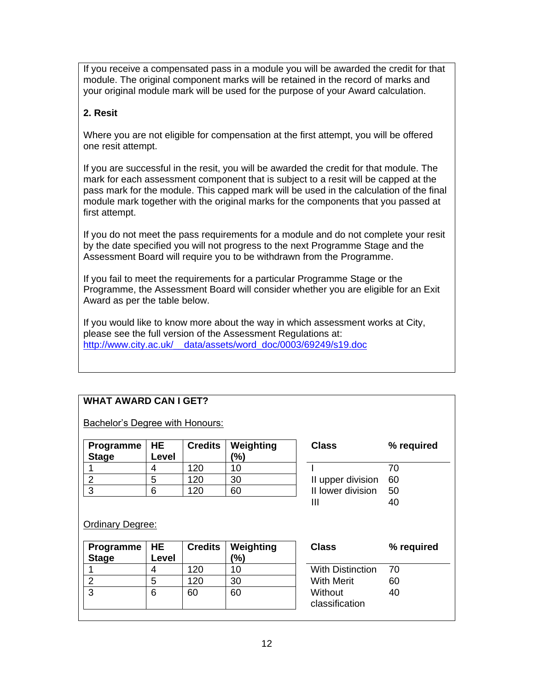If you receive a compensated pass in a module you will be awarded the credit for that module. The original component marks will be retained in the record of marks and your original module mark will be used for the purpose of your Award calculation.

### **2. Resit**

Where you are not eligible for compensation at the first attempt, you will be offered one resit attempt.

If you are successful in the resit, you will be awarded the credit for that module. The mark for each assessment component that is subject to a resit will be capped at the pass mark for the module. This capped mark will be used in the calculation of the final module mark together with the original marks for the components that you passed at first attempt.

If you do not meet the pass requirements for a module and do not complete your resit by the date specified you will not progress to the next Programme Stage and the Assessment Board will require you to be withdrawn from the Programme.

If you fail to meet the requirements for a particular Programme Stage or the Programme, the Assessment Board will consider whether you are eligible for an Exit Award as per the table below.

If you would like to know more about the way in which assessment works at City, please see the full version of the Assessment Regulations at: [http://www.city.ac.uk/\\_\\_data/assets/word\\_doc/0003/69249/s19.doc](http://www.city.ac.uk/__data/assets/word_doc/0003/69249/s19.doc)

# **WHAT AWARD CAN I GET?**

Bachelor's Degree with Honours:

| Programme   HE<br><b>Stage</b> | Level | <b>Credits</b> | Weighting<br>(%) | <b>Class</b>      | ℅  |
|--------------------------------|-------|----------------|------------------|-------------------|----|
|                                |       | 120            | 10               |                   | 70 |
|                                | ∽     | 120            | 30               | II upper division | 60 |
|                                |       | 120            | 60               | II lower division | 50 |

| Class             | % required |
|-------------------|------------|
|                   | 70         |
| II upper division | 60         |
| II lower division | 50         |
| Ш                 |            |
|                   |            |

**Class % required**

40

#### Ordinary Degree:

| Programme<br><b>Stage</b> | HE<br>Level | <b>Credits</b> | Weighting<br>(%) | <b>Class</b>              | ℅  |
|---------------------------|-------------|----------------|------------------|---------------------------|----|
|                           |             | 120            | 10               | <b>With Distinction</b>   | 70 |
|                           | 5           | 120            | 30               | <b>With Merit</b>         | 60 |
| ົ                         | 6           | 60             | 60               | Without<br>classification | 40 |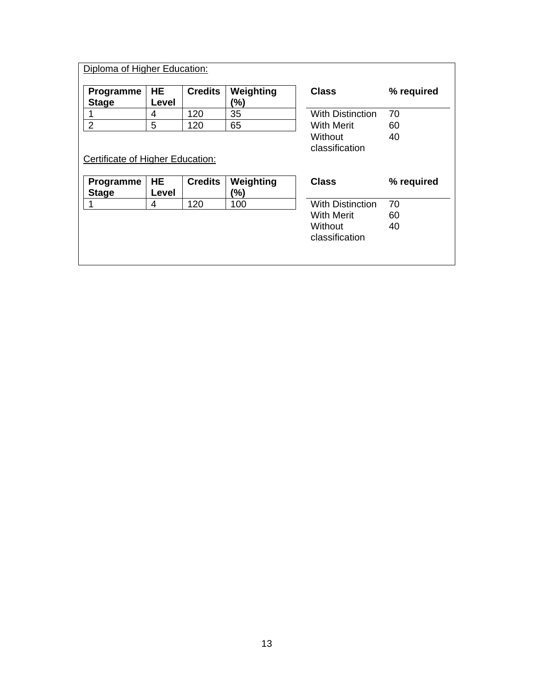| Diploma of Higher Education:     |                    |                |                           |                         |            |
|----------------------------------|--------------------|----------------|---------------------------|-------------------------|------------|
| <b>Programme</b><br><b>Stage</b> | <b>HE</b><br>Level | <b>Credits</b> | Weighting<br>$(\%)$       | <b>Class</b>            | % required |
|                                  | 4                  | 120            | 35                        | <b>With Distinction</b> | 70         |
| $\overline{2}$                   | 5                  | 120            | 65                        | <b>With Merit</b>       | 60         |
|                                  |                    |                | Without<br>classification | 40                      |            |
|                                  |                    |                |                           |                         |            |
| Certificate of Higher Education: |                    |                |                           |                         |            |
| Programme<br><b>Stage</b>        | <b>HE</b><br>Level | <b>Credits</b> | Weighting<br>(%)          | <b>Class</b>            | % required |
| 1                                | 4                  | 120            | 100                       | <b>With Distinction</b> | 70         |
|                                  |                    |                |                           | With Merit              | 60         |
|                                  |                    |                |                           | Without                 | 40         |
|                                  |                    |                |                           | classification          |            |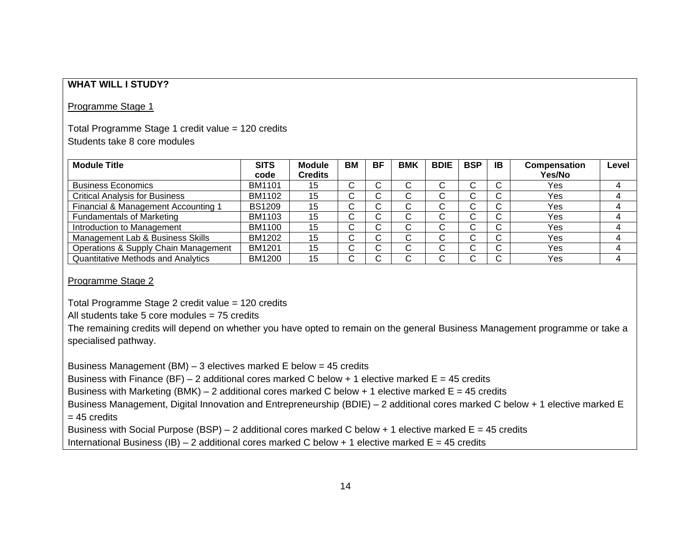### **WHAT WILL I STUDY?**

#### Programme Stage 1

### Total Programme Stage 1 credit value = 120 credits Students take 8 core modules

| <b>Module Title</b>                       | <b>SITS</b><br>code | <b>Module</b><br><b>Credits</b> | BM      | <b>BF</b> | <b>BMK</b> | <b>BDIE</b> | <b>BSP</b>                    | ΙB          | Compensation<br>Yes/No | Level |
|-------------------------------------------|---------------------|---------------------------------|---------|-----------|------------|-------------|-------------------------------|-------------|------------------------|-------|
| <b>Business Economics</b>                 | <b>BM1101</b>       | 15                              | С       | ⌒         |            |             | ⌒                             | C           | Yes                    |       |
| <b>Critical Analysis for Business</b>     | BM1102              | 15                              | ⌒<br>U  | U         |            |             | ⌒<br>ັ                        | ⌒           | Yes                    |       |
| Financial & Management Accounting 1       | <b>BS1209</b>       | 15                              | ⌒<br>ι, | U.        |            |             | ⌒<br>ι,                       | $\sim$<br>◡ | Yes                    |       |
| <b>Fundamentals of Marketing</b>          | BM1103              | 15                              | С       | ~         | $\sim$     | ⌒           | ⌒                             | C           | Yes                    |       |
| Introduction to Management                | <b>BM1100</b>       | 15                              | ⌒<br>U  | ~<br>L.   |            |             | ⌒<br>$\overline{\phantom{a}}$ | ⌒           | Yes                    |       |
| Management Lab & Business Skills          | <b>BM1202</b>       | 15                              | ⌒<br>ι, | ~<br>U.   |            |             | $\sim$<br>ι,                  | $\sim$<br>◡ | Yes                    |       |
| Operations & Supply Chain Management      | <b>BM1201</b>       | 15                              | C       | ~         | $\sim$     | ⌒           | ⌒                             | C           | Yes                    |       |
| <b>Quantitative Methods and Analytics</b> | <b>BM1200</b>       | 15                              | ⌒       |           |            |             |                               | $\sim$      | Yes                    |       |

Programme Stage 2

Total Programme Stage 2 credit value = 120 credits

All students take 5 core modules = 75 credits

The remaining credits will depend on whether you have opted to remain on the general Business Management programme or take a specialised pathway.

Business Management (BM) – 3 electives marked E below = 45 credits

Business with Finance (BF) – 2 additional cores marked C below + 1 elective marked  $E = 45$  credits

Business with Marketing (BMK) – 2 additional cores marked C below + 1 elective marked  $E = 45$  credits

Business Management, Digital Innovation and Entrepreneurship (BDIE) – 2 additional cores marked C below + 1 elective marked E  $= 45$  credits

Business with Social Purpose (BSP) – 2 additional cores marked C below + 1 elective marked  $E = 45$  credits

International Business (IB) – 2 additional cores marked C below + 1 elective marked  $E = 45$  credits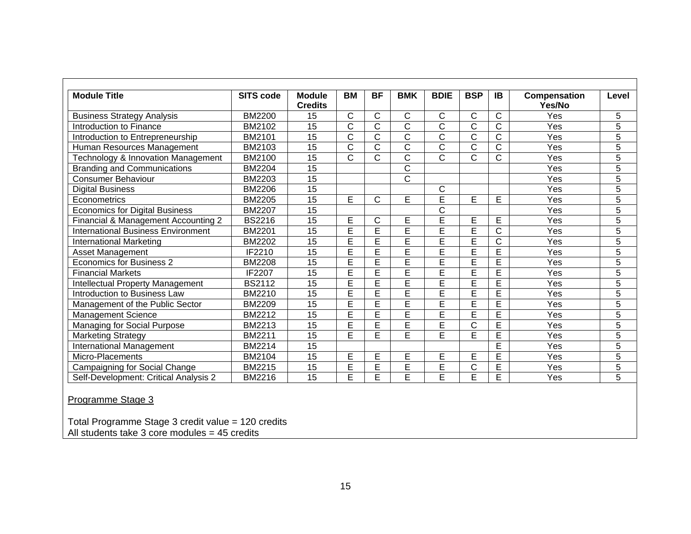| <b>Module Title</b>                       | <b>SITS code</b> | <b>Module</b><br><b>Credits</b> | <b>BM</b> | <b>BF</b>    | <b>BMK</b>   | <b>BDIE</b>           | <b>BSP</b>              | <b>IB</b>             | Compensation<br>Yes/No | Level          |
|-------------------------------------------|------------------|---------------------------------|-----------|--------------|--------------|-----------------------|-------------------------|-----------------------|------------------------|----------------|
| <b>Business Strategy Analysis</b>         | <b>BM2200</b>    | 15                              | C         | C            | C            | С                     | C                       | C                     | Yes                    | 5              |
| Introduction to Finance                   | BM2102           | 15                              | C         | C            | Ć            | C                     | C                       | $\mathsf{C}$          | Yes                    | 5              |
| Introduction to Entrepreneurship          | <b>BM2101</b>    | 15                              | C         | $\mathsf C$  | $\mathsf C$  | C                     | $\mathsf C$             | $\mathsf C$           | Yes                    | $\overline{5}$ |
| Human Resources Management                | BM2103           | 15                              | C         | $\mathsf{C}$ | $\mathsf{C}$ | C                     | $\mathsf C$             | C                     | Yes                    | $\overline{5}$ |
| Technology & Innovation Management        | BM2100           | 15                              | C         | $\mathsf{C}$ | C            | $\overline{C}$        | C                       | $\mathsf C$           | Yes                    | $\overline{5}$ |
| <b>Branding and Communications</b>        | <b>BM2204</b>    | 15                              |           |              | $\mathsf{C}$ |                       |                         |                       | Yes                    | $\overline{5}$ |
| <b>Consumer Behaviour</b>                 | <b>BM2203</b>    | 15                              |           |              | C            |                       |                         |                       | Yes                    | 5              |
| <b>Digital Business</b>                   | <b>BM2206</b>    | $\overline{15}$                 |           |              |              | C                     |                         |                       | Yes                    | $\overline{5}$ |
| Econometrics                              | <b>BM2205</b>    | 15                              | E         | $\mathsf{C}$ | E            | E                     | E                       | E                     | Yes                    | $\overline{5}$ |
| <b>Economics for Digital Business</b>     | <b>BM2207</b>    | 15                              |           |              |              | $\overline{\text{C}}$ |                         |                       | Yes                    | $\overline{5}$ |
| Financial & Management Accounting 2       | <b>BS2216</b>    | 15                              | E         | C            | E            | Ē                     | E                       | E                     | Yes                    | $\overline{5}$ |
| <b>International Business Environment</b> | <b>BM2201</b>    | 15                              | E         | E            | Ē            | Ē                     | E                       | C                     | Yes                    | 5              |
| International Marketing                   | <b>BM2202</b>    | $\overline{15}$                 | Ē         | E            | Ē            | Ē                     | Ē                       | $\overline{\text{C}}$ | Yes                    | $\overline{5}$ |
| <b>Asset Management</b>                   | IF2210           | 15                              | E         | E            | E            | E                     | E                       | E                     | Yes                    | $\overline{5}$ |
| <b>Economics for Business 2</b>           | <b>BM2208</b>    | 15                              | E         | E            | E            | Ē                     | E                       | E                     | Yes                    | $\overline{5}$ |
| <b>Financial Markets</b>                  | IF2207           | 15                              | E         | E            | E            | Ē                     | E                       | E                     | Yes                    | $\overline{5}$ |
| <b>Intellectual Property Management</b>   | <b>BS2112</b>    | 15                              | E         | Ē            | Ē            | Ē                     | $\overline{\mathsf{E}}$ | E                     | Yes                    | 5              |
| Introduction to Business Law              | <b>BM2210</b>    | 15                              | Ē         | E            | Ē            | E                     | Ē                       | Ē                     | Yes                    | $\overline{5}$ |
| Management of the Public Sector           | <b>BM2209</b>    | 15                              | E         | E            | E            | E                     | E                       | E                     | Yes                    | $\overline{5}$ |
| Management Science                        | <b>BM2212</b>    | 15                              | E         | E            | E            | Ē                     | E                       | E                     | Yes                    | $\overline{5}$ |
| Managing for Social Purpose               | <b>BM2213</b>    | 15                              | E         | E            | Ē            | E                     | C                       | E                     | Yes                    | $\overline{5}$ |
| <b>Marketing Strategy</b>                 | <b>BM2211</b>    | 15                              | E         | E            | Ē            | Ē                     | Ē                       | E                     | Yes                    | 5              |
| International Management                  | <b>BM2214</b>    | 15                              |           |              |              |                       |                         | E                     | Yes                    | 5              |
| Micro-Placements                          | BM2104           | 15                              | E         | E            | E            | E                     | E                       | E                     | Yes                    | 5              |
| Campaigning for Social Change             | <b>BM2215</b>    | 15                              | E         | E            | E            | $\overline{E}$        | $\mathsf C$             | E                     | Yes                    | $\overline{5}$ |
| Self-Development: Critical Analysis 2     | <b>BM2216</b>    | 15                              | E         | E            | E            | E                     | E                       | $\overline{E}$        | Yes                    | $\overline{5}$ |

Total Programme Stage 3 credit value = 120 credits All students take 3 core modules = 45 credits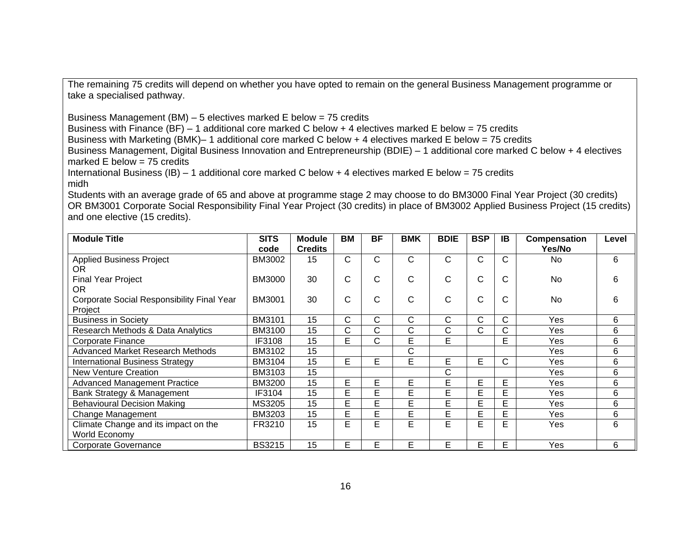The remaining 75 credits will depend on whether you have opted to remain on the general Business Management programme or take a specialised pathway.

Business Management (BM) – 5 electives marked E below = 75 credits

Business with Finance (BF) – 1 additional core marked C below + 4 electives marked E below = 75 credits

Business with Marketing (BMK)– 1 additional core marked C below + 4 electives marked E below = 75 credits

Business Management, Digital Business Innovation and Entrepreneurship (BDIE) – 1 additional core marked C below + 4 electives marked  $E$  below = 75 credits

International Business (IB) – 1 additional core marked C below + 4 electives marked E below = 75 credits midh

Students with an average grade of 65 and above at programme stage 2 may choose to do BM3000 Final Year Project (30 credits) OR BM3001 Corporate Social Responsibility Final Year Project (30 credits) in place of BM3002 Applied Business Project (15 credits) and one elective (15 credits).

| <b>Module Title</b>                        | <b>SITS</b>   | <b>Module</b>  | <b>BM</b> | <b>BF</b>    | <b>BMK</b> | <b>BDIE</b> | <b>BSP</b>   | <b>IB</b> | Compensation | Level |
|--------------------------------------------|---------------|----------------|-----------|--------------|------------|-------------|--------------|-----------|--------------|-------|
|                                            | code          | <b>Credits</b> |           |              |            |             |              |           | Yes/No       |       |
| <b>Applied Business Project</b>            | <b>BM3002</b> | 15             | С         | С            | C          | С           | C            | C         | No           | 6     |
| OR.                                        |               |                |           |              |            |             |              |           |              |       |
| <b>Final Year Project</b>                  | <b>BM3000</b> | 30             | С         | C.           | С          | C           | C            | C         | No           | 6     |
| OR.                                        |               |                |           |              |            |             |              |           |              |       |
| Corporate Social Responsibility Final Year | BM3001        | 30             | С         | C            | C          | C           | C            | C         | <b>No</b>    | 6     |
| Project                                    |               |                |           |              |            |             |              |           |              |       |
| <b>Business in Society</b>                 | <b>BM3101</b> | 15             | С         | $\mathsf{C}$ | C.         | C           | $\mathsf{C}$ | C         | Yes          | 6     |
| Research Methods & Data Analytics          | <b>BM3100</b> | 15             | C.        | C            | С          | С           | $\mathsf{C}$ | C         | Yes          | 6     |
| <b>Corporate Finance</b>                   | IF3108        | 15             | E.        | С            | E          | E           |              | E         | Yes          | 6     |
| <b>Advanced Market Research Methods</b>    | <b>BM3102</b> | 15             |           |              | С          |             |              |           | Yes          | 6     |
| <b>International Business Strategy</b>     | <b>BM3104</b> | 15             | E.        | E            | E          | E           | E            | C         | Yes          | 6     |
| <b>New Venture Creation</b>                | BM3103        | 15             |           |              |            | C           |              |           | Yes          | 6     |
| <b>Advanced Management Practice</b>        | <b>BM3200</b> | 15             | E         | E            | E          | E           | E            | E         | Yes          | 6     |
| Bank Strategy & Management                 | IF3104        | 15             | E         | E            | E          | E           | E            | E         | Yes          | 6     |
| <b>Behavioural Decision Making</b>         | MS3205        | 15             | E         | E            | E          | E           | E            | E         | Yes          | 6     |
| Change Management                          | <b>BM3203</b> | 15             | E         | E            | E          | E           | E            | E         | Yes          | 6     |
| Climate Change and its impact on the       | FR3210        | 15             | E         | E            | E          | E           | E            | E         | Yes          | 6     |
| World Economy                              |               |                |           |              |            |             |              |           |              |       |
| <b>Corporate Governance</b>                | <b>BS3215</b> | 15             | E         | E.           | E          | E           | E            | E         | Yes          | 6     |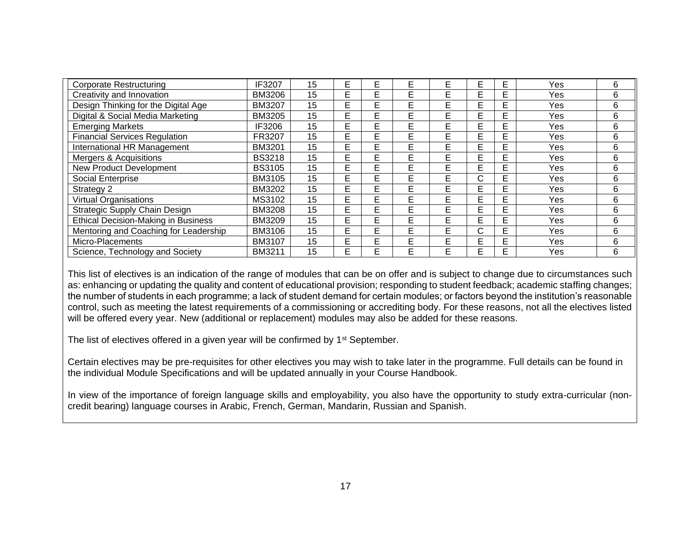| <b>Corporate Restructuring</b>             | IF3207        | 15 | E  | E  | E | E  | E            | E | Yes  | 6 |
|--------------------------------------------|---------------|----|----|----|---|----|--------------|---|------|---|
| Creativity and Innovation                  | BM3206        | 15 | E  | E  | Е | E  | E            | E | Yes  | 6 |
| Design Thinking for the Digital Age        | <b>BM3207</b> | 15 | E  | E. | E | E  | E            | E | Yes  | 6 |
| Digital & Social Media Marketing           | <b>BM3205</b> | 15 | E  | E. | E | E  | E            | E | Yes  | 6 |
| <b>Emerging Markets</b>                    | IF3206        | 15 | E  | E. | E | E  | E            | E | Yes  | 6 |
| <b>Financial Services Regulation</b>       | FR3207        | 15 | E  | E  | E | E  | E            | E | Yes  | 6 |
| International HR Management                | <b>BM3201</b> | 15 | E  | E  | E | E  | E            | E | Yes  | 6 |
| Mergers & Acquisitions                     | <b>BS3218</b> | 15 | E  | E  | E | E  | E            | E | Yes  | 6 |
| <b>New Product Development</b>             | <b>BS3105</b> | 15 | E  | E  | E | E  | E            | E | Yes  | 6 |
| Social Enterprise                          | <b>BM3105</b> | 15 | E  | Е  | E | E  | C            | E | Yes. | 6 |
| Strategy 2                                 | <b>BM3202</b> | 15 | E  | E  | E | E  | E            | E | Yes  | 6 |
| <b>Virtual Organisations</b>               | MS3102        | 15 | E  | F. | E | E  | E            | E | Yes  | 6 |
| Strategic Supply Chain Design              | <b>BM3208</b> | 15 | E  | E. | E | E  | E            | E | Yes  | 6 |
| <b>Ethical Decision-Making in Business</b> | <b>BM3209</b> | 15 | E. | E. | E | E  | E            | E | Yes  | 6 |
| Mentoring and Coaching for Leadership      | BM3106        | 15 | E  | E. | E | E  | $\mathsf{C}$ | E | Yes  | 6 |
| Micro-Placements                           | BM3107        | 15 | E  | Е  | E | E  | E            | E | Yes. | 6 |
| Science, Technology and Society            | <b>BM3211</b> | 15 | E  | F  | F | F. | E            | E | Yes  | 6 |

This list of electives is an indication of the range of modules that can be on offer and is subject to change due to circumstances such as: enhancing or updating the quality and content of educational provision; responding to student feedback; academic staffing changes; the number of students in each programme; a lack of student demand for certain modules; or factors beyond the institution's reasonable control, such as meeting the latest requirements of a commissioning or accrediting body. For these reasons, not all the electives listed will be offered every year. New (additional or replacement) modules may also be added for these reasons.

The list of electives offered in a given year will be confirmed by 1<sup>st</sup> September.

Certain electives may be pre-requisites for other electives you may wish to take later in the programme. Full details can be found in the individual Module Specifications and will be updated annually in your Course Handbook.

In view of the importance of foreign language skills and employability, you also have the opportunity to study extra-curricular (noncredit bearing) language courses in Arabic, French, German, Mandarin, Russian and Spanish.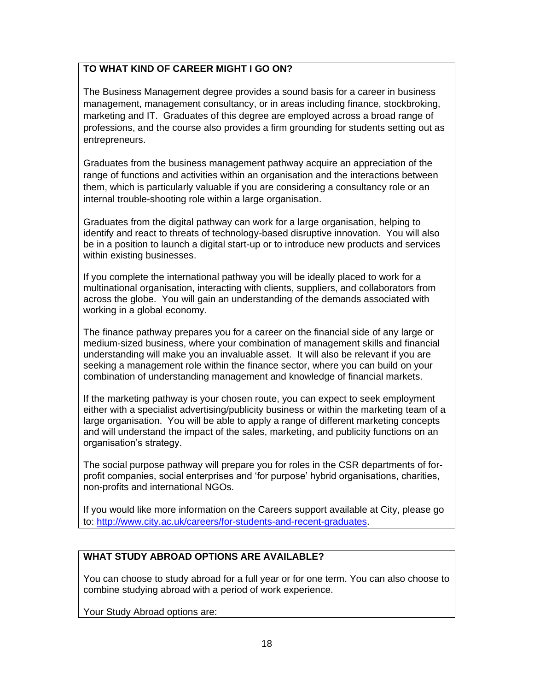# **TO WHAT KIND OF CAREER MIGHT I GO ON?**

The Business Management degree provides a sound basis for a career in business management, management consultancy, or in areas including finance, stockbroking, marketing and IT. Graduates of this degree are employed across a broad range of professions, and the course also provides a firm grounding for students setting out as entrepreneurs.

Graduates from the business management pathway acquire an appreciation of the range of functions and activities within an organisation and the interactions between them, which is particularly valuable if you are considering a consultancy role or an internal trouble-shooting role within a large organisation.

Graduates from the digital pathway can work for a large organisation, helping to identify and react to threats of technology-based disruptive innovation. You will also be in a position to launch a digital start-up or to introduce new products and services within existing businesses.

If you complete the international pathway you will be ideally placed to work for a multinational organisation, interacting with clients, suppliers, and collaborators from across the globe. You will gain an understanding of the demands associated with working in a global economy.

The finance pathway prepares you for a career on the financial side of any large or medium-sized business, where your combination of management skills and financial understanding will make you an invaluable asset. It will also be relevant if you are seeking a management role within the finance sector, where you can build on your combination of understanding management and knowledge of financial markets.

If the marketing pathway is your chosen route, you can expect to seek employment either with a specialist advertising/publicity business or within the marketing team of a large organisation. You will be able to apply a range of different marketing concepts and will understand the impact of the sales, marketing, and publicity functions on an organisation's strategy.

The social purpose pathway will prepare you for roles in the CSR departments of forprofit companies, social enterprises and 'for purpose' hybrid organisations, charities, non-profits and international NGOs.

If you would like more information on the Careers support available at City, please go to: [http://www.city.ac.uk/careers/for-students-and-recent-graduates.](http://www.city.ac.uk/careers/for-students-and-recent-graduates)

### **WHAT STUDY ABROAD OPTIONS ARE AVAILABLE?**

You can choose to study abroad for a full year or for one term. You can also choose to combine studying abroad with a period of work experience.

Your Study Abroad options are: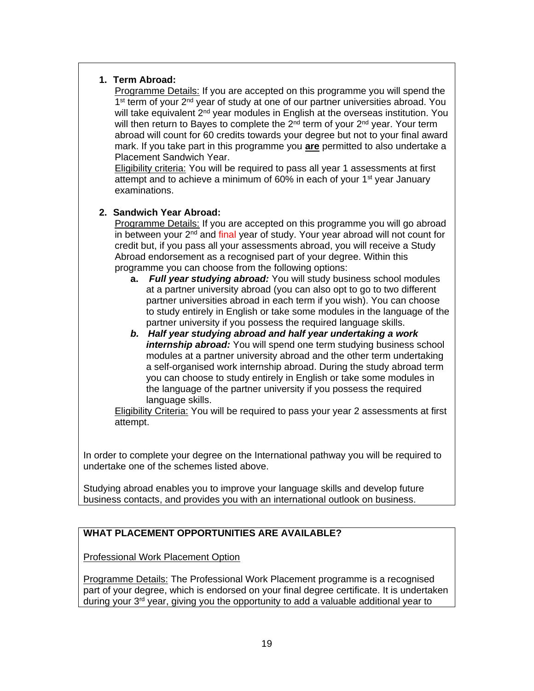### **1. Term Abroad:**

Programme Details: If you are accepted on this programme you will spend the 1<sup>st</sup> term of your 2<sup>nd</sup> year of study at one of our partner universities abroad. You will take equivalent  $2<sup>nd</sup>$  year modules in English at the overseas institution. You will then return to Bayes to complete the  $2^{nd}$  term of your  $2^{nd}$  year. Your term abroad will count for 60 credits towards your degree but not to your final award mark. If you take part in this programme you **are** permitted to also undertake a Placement Sandwich Year.

Eligibility criteria: You will be required to pass all year 1 assessments at first attempt and to achieve a minimum of 60% in each of your 1<sup>st</sup> year January examinations.

### **2. Sandwich Year Abroad:**

Programme Details: If you are accepted on this programme you will go abroad in between your  $2<sup>nd</sup>$  and final year of study. Your year abroad will not count for credit but, if you pass all your assessments abroad, you will receive a Study Abroad endorsement as a recognised part of your degree. Within this programme you can choose from the following options:

- **a.** *Full year studying abroad:* You will study business school modules at a partner university abroad (you can also opt to go to two different partner universities abroad in each term if you wish). You can choose to study entirely in English or take some modules in the language of the partner university if you possess the required language skills.
- *b. Half year studying abroad and half year undertaking a work internship abroad:* You will spend one term studying business school modules at a partner university abroad and the other term undertaking a self-organised work internship abroad. During the study abroad term you can choose to study entirely in English or take some modules in the language of the partner university if you possess the required language skills.

Eligibility Criteria: You will be required to pass your year 2 assessments at first attempt.

In order to complete your degree on the International pathway you will be required to undertake one of the schemes listed above.

Studying abroad enables you to improve your language skills and develop future business contacts, and provides you with an international outlook on business.

# **WHAT PLACEMENT OPPORTUNITIES ARE AVAILABLE?**

Professional Work Placement Option

Programme Details: The Professional Work Placement programme is a recognised part of your degree, which is endorsed on your final degree certificate. It is undertaken during your 3rd year, giving you the opportunity to add a valuable additional year to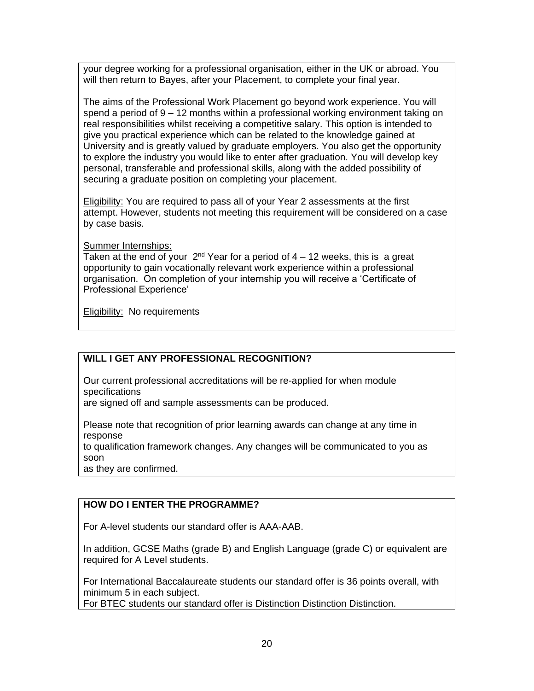your degree working for a professional organisation, either in the UK or abroad. You will then return to Bayes, after your Placement, to complete your final year.

The aims of the Professional Work Placement go beyond work experience. You will spend a period of 9 – 12 months within a professional working environment taking on real responsibilities whilst receiving a competitive salary. This option is intended to give you practical experience which can be related to the knowledge gained at University and is greatly valued by graduate employers. You also get the opportunity to explore the industry you would like to enter after graduation. You will develop key personal, transferable and professional skills, along with the added possibility of securing a graduate position on completing your placement.

Eligibility: You are required to pass all of your Year 2 assessments at the first attempt. However, students not meeting this requirement will be considered on a case by case basis.

Summer Internships:

Taken at the end of your  $2<sup>nd</sup>$  Year for a period of 4 – 12 weeks, this is a great opportunity to gain vocationally relevant work experience within a professional organisation. On completion of your internship you will receive a 'Certificate of Professional Experience'

Eligibility: No requirements

### **WILL I GET ANY PROFESSIONAL RECOGNITION?**

Our current professional accreditations will be re-applied for when module specifications

are signed off and sample assessments can be produced.

Please note that recognition of prior learning awards can change at any time in response

to qualification framework changes. Any changes will be communicated to you as soon

as they are confirmed.

### **HOW DO I ENTER THE PROGRAMME?**

For A-level students our standard offer is AAA-AAB.

In addition, GCSE Maths (grade B) and English Language (grade C) or equivalent are required for A Level students.

For International Baccalaureate students our standard offer is 36 points overall, with minimum 5 in each subject.

For BTEC students our standard offer is Distinction Distinction Distinction.